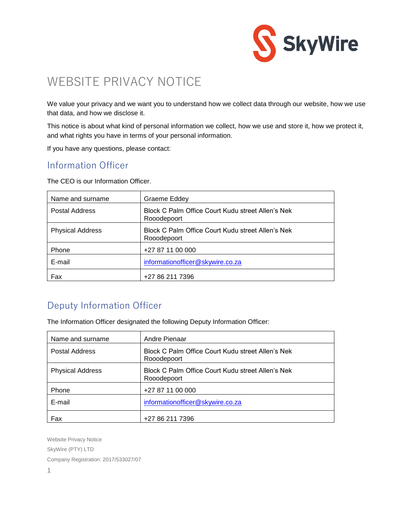

# WEBSITE PRIVACY NOTICE

We value your privacy and we want you to understand how we collect data through our website, how we use that data, and how we disclose it.

This notice is about what kind of personal information we collect, how we use and store it, how we protect it, and what rights you have in terms of your personal information.

If you have any questions, please contact:

### Information Officer

The CEO is our Information Officer.

| Name and surname        | Graeme Eddey                                                     |
|-------------------------|------------------------------------------------------------------|
| <b>Postal Address</b>   | Block C Palm Office Court Kudu street Allen's Nek<br>Rooodepoort |
| <b>Physical Address</b> | Block C Palm Office Court Kudu street Allen's Nek<br>Rooodepoort |
| Phone                   | +27 87 11 00 000                                                 |
| E-mail                  | informationofficer@skywire.co.za                                 |
| Fax                     | +27 86 211 7396                                                  |

## Deputy Information Officer

The Information Officer designated the following Deputy Information Officer:

| Name and surname        | Andre Pienaar                                                    |
|-------------------------|------------------------------------------------------------------|
| <b>Postal Address</b>   | Block C Palm Office Court Kudu street Allen's Nek<br>Rooodepoort |
| <b>Physical Address</b> | Block C Palm Office Court Kudu street Allen's Nek<br>Rooodepoort |
| Phone                   | +27 87 11 00 000                                                 |
| E-mail                  | informationofficer@skywire.co.za                                 |
| Fax                     | +27 86 211 7396                                                  |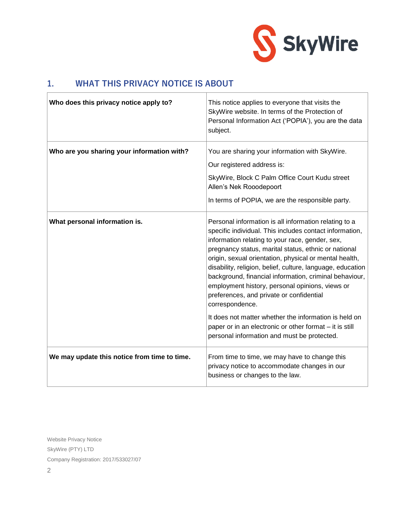

#### **1. WHAT THIS PRIVACY NOTICE IS ABOUT**

| Who does this privacy notice apply to?       | This notice applies to everyone that visits the<br>SkyWire website. In terms of the Protection of<br>Personal Information Act ('POPIA'), you are the data<br>subject.                                                                                                                                                                                                                                                                                                                                                           |
|----------------------------------------------|---------------------------------------------------------------------------------------------------------------------------------------------------------------------------------------------------------------------------------------------------------------------------------------------------------------------------------------------------------------------------------------------------------------------------------------------------------------------------------------------------------------------------------|
| Who are you sharing your information with?   | You are sharing your information with SkyWire.<br>Our registered address is:                                                                                                                                                                                                                                                                                                                                                                                                                                                    |
|                                              | SkyWire, Block C Palm Office Court Kudu street<br>Allen's Nek Rooodepoort                                                                                                                                                                                                                                                                                                                                                                                                                                                       |
|                                              | In terms of POPIA, we are the responsible party.                                                                                                                                                                                                                                                                                                                                                                                                                                                                                |
| What personal information is.                | Personal information is all information relating to a<br>specific individual. This includes contact information,<br>information relating to your race, gender, sex,<br>pregnancy status, marital status, ethnic or national<br>origin, sexual orientation, physical or mental health,<br>disability, religion, belief, culture, language, education<br>background, financial information, criminal behaviour,<br>employment history, personal opinions, views or<br>preferences, and private or confidential<br>correspondence. |
|                                              | It does not matter whether the information is held on<br>paper or in an electronic or other format - it is still<br>personal information and must be protected.                                                                                                                                                                                                                                                                                                                                                                 |
| We may update this notice from time to time. | From time to time, we may have to change this<br>privacy notice to accommodate changes in our<br>business or changes to the law.                                                                                                                                                                                                                                                                                                                                                                                                |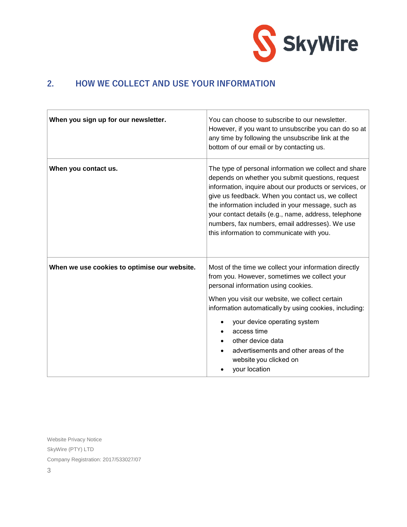

#### **2. HOW WE COLLECT AND USE YOUR INFORMATION**

| When you sign up for our newsletter.         | You can choose to subscribe to our newsletter.<br>However, if you want to unsubscribe you can do so at<br>any time by following the unsubscribe link at the<br>bottom of our email or by contacting us.                                                                                                                                                                                                                               |
|----------------------------------------------|---------------------------------------------------------------------------------------------------------------------------------------------------------------------------------------------------------------------------------------------------------------------------------------------------------------------------------------------------------------------------------------------------------------------------------------|
| When you contact us.                         | The type of personal information we collect and share<br>depends on whether you submit questions, request<br>information, inquire about our products or services, or<br>give us feedback. When you contact us, we collect<br>the information included in your message, such as<br>your contact details (e.g., name, address, telephone<br>numbers, fax numbers, email addresses). We use<br>this information to communicate with you. |
| When we use cookies to optimise our website. | Most of the time we collect your information directly<br>from you. However, sometimes we collect your<br>personal information using cookies.<br>When you visit our website, we collect certain<br>information automatically by using cookies, including:<br>your device operating system<br>access time<br>other device data<br>advertisements and other areas of the<br>website you clicked on<br>your location                      |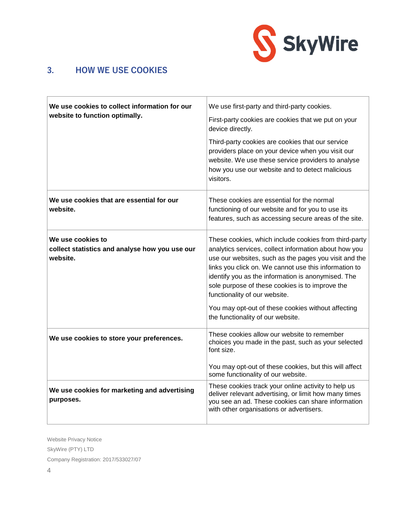

#### **3. HOW WE USE COOKIES**

| We use cookies to collect information for our<br>website to function optimally. | We use first-party and third-party cookies.<br>First-party cookies are cookies that we put on your<br>device directly.<br>Third-party cookies are cookies that our service                                                                                                                                                                                                                                                                                            |
|---------------------------------------------------------------------------------|-----------------------------------------------------------------------------------------------------------------------------------------------------------------------------------------------------------------------------------------------------------------------------------------------------------------------------------------------------------------------------------------------------------------------------------------------------------------------|
|                                                                                 | providers place on your device when you visit our<br>website. We use these service providers to analyse<br>how you use our website and to detect malicious<br>visitors.                                                                                                                                                                                                                                                                                               |
| We use cookies that are essential for our<br>website.                           | These cookies are essential for the normal<br>functioning of our website and for you to use its<br>features, such as accessing secure areas of the site.                                                                                                                                                                                                                                                                                                              |
| We use cookies to<br>collect statistics and analyse how you use our<br>website. | These cookies, which include cookies from third-party<br>analytics services, collect information about how you<br>use our websites, such as the pages you visit and the<br>links you click on. We cannot use this information to<br>identify you as the information is anonymised. The<br>sole purpose of these cookies is to improve the<br>functionality of our website.<br>You may opt-out of these cookies without affecting<br>the functionality of our website. |
| We use cookies to store your preferences.                                       | These cookies allow our website to remember<br>choices you made in the past, such as your selected<br>font size.                                                                                                                                                                                                                                                                                                                                                      |
|                                                                                 | You may opt-out of these cookies, but this will affect<br>some functionality of our website.                                                                                                                                                                                                                                                                                                                                                                          |
| We use cookies for marketing and advertising<br>purposes.                       | These cookies track your online activity to help us<br>deliver relevant advertising, or limit how many times<br>you see an ad. These cookies can share information<br>with other organisations or advertisers.                                                                                                                                                                                                                                                        |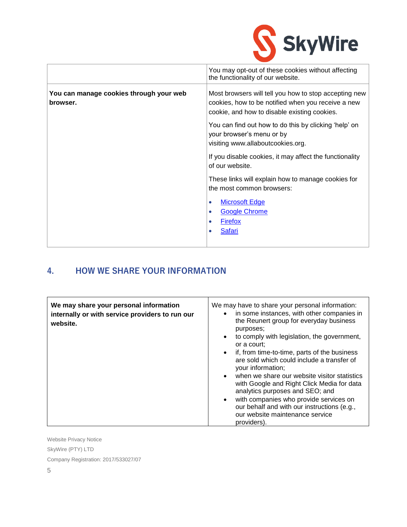

|                                                     | You may opt-out of these cookies without affecting<br>the functionality of our website.                                                                     |
|-----------------------------------------------------|-------------------------------------------------------------------------------------------------------------------------------------------------------------|
| You can manage cookies through your web<br>browser. | Most browsers will tell you how to stop accepting new<br>cookies, how to be notified when you receive a new<br>cookie, and how to disable existing cookies. |
|                                                     | You can find out how to do this by clicking 'help' on<br>your browser's menu or by<br>visiting www.allaboutcookies.org.                                     |
|                                                     | If you disable cookies, it may affect the functionality<br>of our website.                                                                                  |
|                                                     | These links will explain how to manage cookies for<br>the most common browsers:                                                                             |
|                                                     | <b>Microsoft Edge</b><br>$\bullet$<br><b>Google Chrome</b><br>$\bullet$<br><b>Firefox</b>                                                                   |
|                                                     | Safari                                                                                                                                                      |

## **4. HOW WE SHARE YOUR INFORMATION**

| We may share your personal information<br>internally or with service providers to run our<br>website. | We may have to share your personal information:<br>• in some instances, with other companies in<br>the Reunert group for everyday business<br>purposes;<br>to comply with legislation, the government,<br>$\bullet$<br>or a court:<br>if, from time-to-time, parts of the business<br>$\bullet$<br>are sold which could include a transfer of<br>your information; |
|-------------------------------------------------------------------------------------------------------|--------------------------------------------------------------------------------------------------------------------------------------------------------------------------------------------------------------------------------------------------------------------------------------------------------------------------------------------------------------------|
|                                                                                                       | • when we share our website visitor statistics<br>with Google and Right Click Media for data<br>analytics purposes and SEO; and<br>with companies who provide services on<br>$\bullet$<br>our behalf and with our instructions (e.g.,<br>our website maintenance service<br>providers).                                                                            |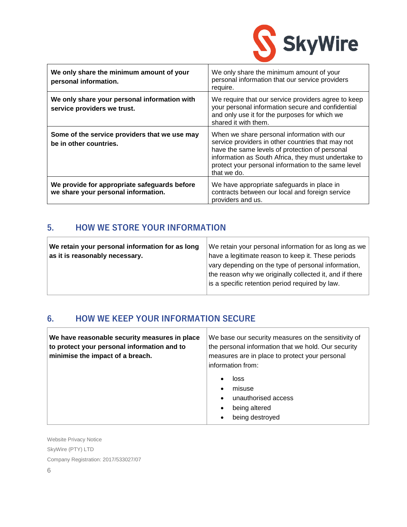

| We only share the minimum amount of your<br>personal information.                   | We only share the minimum amount of your<br>personal information that our service providers<br>require.                                                                                                                                                                         |
|-------------------------------------------------------------------------------------|---------------------------------------------------------------------------------------------------------------------------------------------------------------------------------------------------------------------------------------------------------------------------------|
| We only share your personal information with<br>service providers we trust.         | We require that our service providers agree to keep<br>your personal information secure and confidential<br>and only use it for the purposes for which we<br>shared it with them.                                                                                               |
| Some of the service providers that we use may<br>be in other countries.             | When we share personal information with our<br>service providers in other countries that may not<br>have the same levels of protection of personal<br>information as South Africa, they must undertake to<br>protect your personal information to the same level<br>that we do. |
| We provide for appropriate safeguards before<br>we share your personal information. | We have appropriate safeguards in place in<br>contracts between our local and foreign service<br>providers and us.                                                                                                                                                              |

#### **5. HOW WE STORE YOUR INFORMATION**

| We retain your personal information for as long<br>as it is reasonably necessary. | We retain your personal information for as long as we<br>have a legitimate reason to keep it. These periods<br>vary depending on the type of personal information,<br>the reason why we originally collected it, and if there |
|-----------------------------------------------------------------------------------|-------------------------------------------------------------------------------------------------------------------------------------------------------------------------------------------------------------------------------|
|                                                                                   | is a specific retention period required by law.                                                                                                                                                                               |

#### **6. HOW WE KEEP YOUR INFORMATION SECURE**

| We have reasonable security measures in place<br>to protect your personal information and to<br>minimise the impact of a breach. | We base our security measures on the sensitivity of<br>the personal information that we hold. Our security<br>measures are in place to protect your personal<br>information from: |
|----------------------------------------------------------------------------------------------------------------------------------|-----------------------------------------------------------------------------------------------------------------------------------------------------------------------------------|
|                                                                                                                                  | loss<br>misuse<br>$\bullet$<br>unauthorised access<br>$\bullet$<br>being altered<br>being destroyed                                                                               |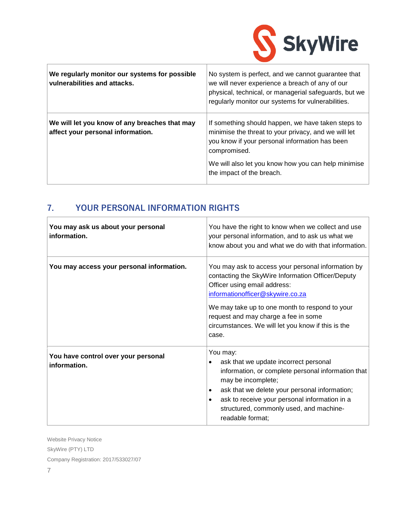

| We regularly monitor our systems for possible<br>vulnerabilities and attacks.      | No system is perfect, and we cannot guarantee that<br>we will never experience a breach of any of our<br>physical, technical, or managerial safeguards, but we<br>regularly monitor our systems for vulnerabilities. |
|------------------------------------------------------------------------------------|----------------------------------------------------------------------------------------------------------------------------------------------------------------------------------------------------------------------|
| We will let you know of any breaches that may<br>affect your personal information. | If something should happen, we have taken steps to<br>minimise the threat to your privacy, and we will let<br>you know if your personal information has been<br>compromised.                                         |
|                                                                                    | We will also let you know how you can help minimise<br>the impact of the breach.                                                                                                                                     |

## **7. YOUR PERSONAL INFORMATION RIGHTS**

| You may ask us about your personal<br>information.  | You have the right to know when we collect and use<br>your personal information, and to ask us what we<br>know about you and what we do with that information.                                                                                                                                                                       |
|-----------------------------------------------------|--------------------------------------------------------------------------------------------------------------------------------------------------------------------------------------------------------------------------------------------------------------------------------------------------------------------------------------|
| You may access your personal information.           | You may ask to access your personal information by<br>contacting the SkyWire Information Officer/Deputy<br>Officer using email address:<br>informationofficer@skywire.co.za<br>We may take up to one month to respond to your<br>request and may charge a fee in some<br>circumstances. We will let you know if this is the<br>case. |
| You have control over your personal<br>information. | You may:<br>ask that we update incorrect personal<br>$\bullet$<br>information, or complete personal information that<br>may be incomplete;<br>ask that we delete your personal information;<br>ask to receive your personal information in a<br>structured, commonly used, and machine-<br>readable format;                          |